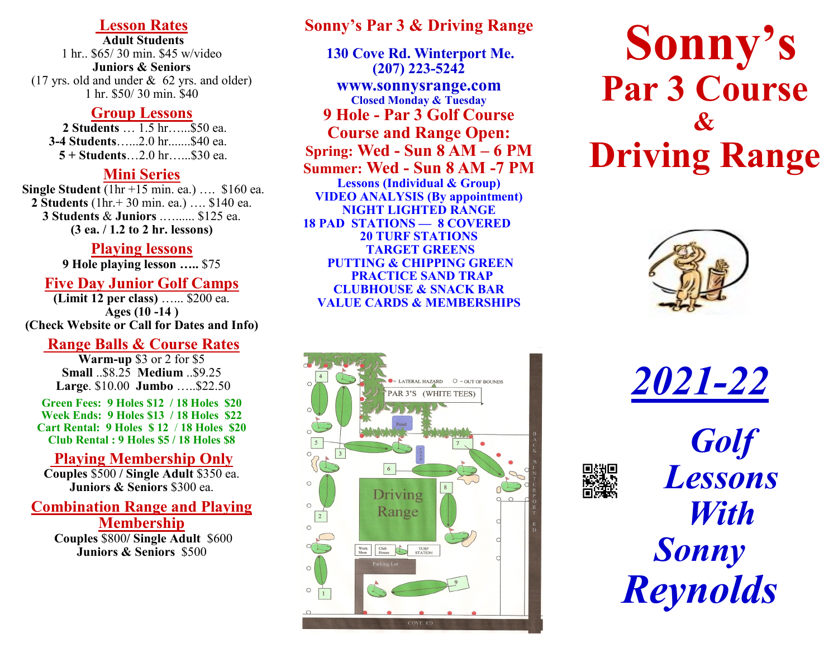## **Lesson Rates**

**Adult Students** 1 hr.. \$65/ 30 min. \$45 w/video **Juniors & Seniors** (17 yrs. old and under & 62 yrs. and older) 1 hr. \$50/ 30 min. \$40

#### **Group Lessons**

 **2 Students** … 1.5 hr…...\$50 ea.  **3-4 Students**…...2.0 hr.......\$40 ea. **5 + Students**…2.0 hr…...\$30 ea.

## **Mini Series**

**Single Student** (1hr +15 min. ea.) …. \$160 ea. **2 Students** (1hr.+ 30 min. ea.) …. \$140 ea. **3 Students** & **Juniors** .…...... \$125 ea. **(3 ea. / 1.2 to 2 hr. lessons)**

## **Playing lessons**

**9 Hole playing lesson …..** \$75

## **Five Day Junior Golf Camps**

**(Limit 12 per class)** …... \$200 ea. **Ages (10 -14 ) (Check Website or Call for Dates and Info)**

## **Range Balls & Course Rates**

**Warm-up** \$3 or 2 for \$5 **Small** ..\$8.25 **Medium** ..\$9.25 **Large**. \$10.00 **Jumbo** …..\$22.50

**Green Fees: 9 Holes \$12 / 18 Holes \$20 Week Ends: 9 Holes \$13 / 18 Holes \$22 Cart Rental: 9 Holes \$ 12** / **18 Holes \$20 Club Rental : 9 Holes \$5 / 18 Holes \$8**

# **Playing Membership Only**

**Couples** \$500 **/ Single Adult** \$350 ea. **Juniors & Seniors** \$300 ea.

## **Combination Range and Playing Membership**

**Couples** \$800**/ Single Adult** \$600 **Juniors & Seniors** \$500

## **Sonny's Par 3 & Driving Range**

**130 Cove Rd. Winterport Me. (207) 223-5242 www.sonnysrange.com Closed Monday & Tuesday 9 Hole - Par 3 Golf Course Course and Range Open: Spring: Wed - Sun 8 AM – 6 PM Summer: Wed - Sun 8 AM -7 PM Lessons (Individual & Group) VIDEO ANALYSIS (By appointment) NIGHT LIGHTED RANGE 18 PAD STATIONS — 8 COVERED 20 TURF STATIONS TARGET GREENS PUTTING & CHIPPING GREEN PRACTICE SAND TRAP CLUBHOUSE & SNACK BAR VALUE CARDS & MEMBERSHIPS**



# **Sonny's Par 3 Course & Driving Range**



*2021-22*